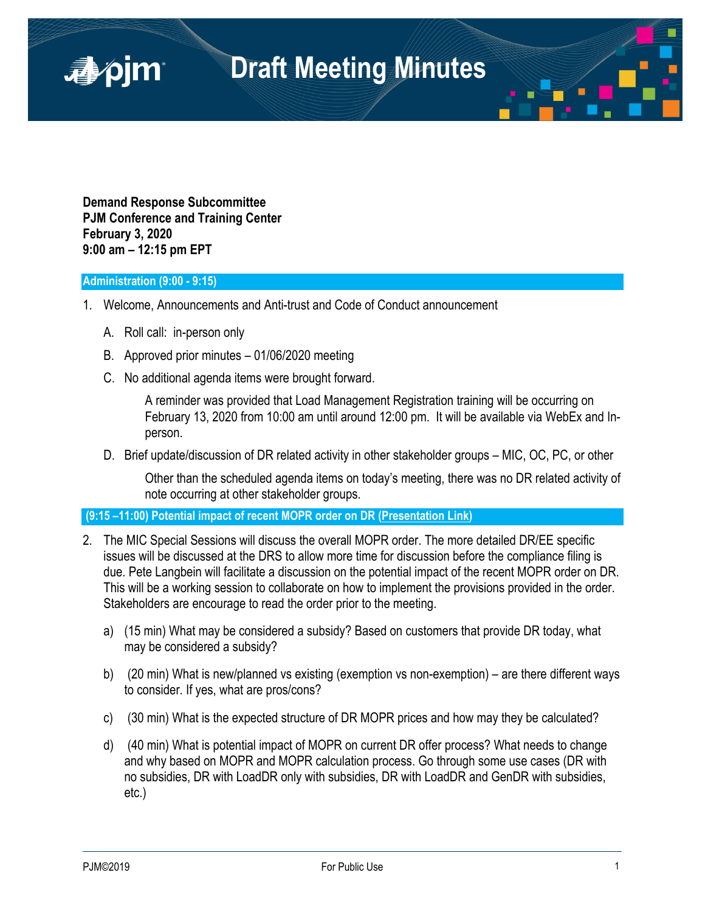

**Demand Response Subcommittee PJM Conference and Training Center February 3, 2020 9:00 am – 12:15 pm EPT**

## **Administration (9:00 - 9:15)**

■pjm

- 1. Welcome, Announcements and Anti-trust and Code of Conduct announcement
	- A. Roll call: in-person only
	- B. Approved prior minutes 01/06/2020 meeting
	- C. No additional agenda items were brought forward.

A reminder was provided that Load Management Registration training will be occurring on February 13, 2020 from 10:00 am until around 12:00 pm. It will be available via WebEx and Inperson.

D. Brief update/discussion of DR related activity in other stakeholder groups – MIC, OC, PC, or other

Other than the scheduled agenda items on today's meeting, there was no DR related activity of note occurring at other stakeholder groups.

**(9:15 –11:00) Potential impact of recent MOPR order on DR [\(Presentation Link\)](https://www.pjm.com/-/media/committees-groups/subcommittees/drs/2020/20200203/20200203-item-02a-mopr-dr.ashx)**

- 2. The MIC Special Sessions will discuss the overall MOPR order. The more detailed DR/EE specific issues will be discussed at the DRS to allow more time for discussion before the compliance filing is due. Pete Langbein will facilitate a discussion on the potential impact of the recent MOPR order on DR. This will be a working session to collaborate on how to implement the provisions provided in the order. Stakeholders are encourage to read the order prior to the meeting.
	- a) (15 min) What may be considered a subsidy? Based on customers that provide DR today, what may be considered a subsidy?
	- b) (20 min) What is new/planned vs existing (exemption vs non-exemption) are there different ways to consider. If yes, what are pros/cons?
	- c) (30 min) What is the expected structure of DR MOPR prices and how may they be calculated?
	- d) (40 min) What is potential impact of MOPR on current DR offer process? What needs to change and why based on MOPR and MOPR calculation process. Go through some use cases (DR with no subsidies, DR with LoadDR only with subsidies, DR with LoadDR and GenDR with subsidies, etc.)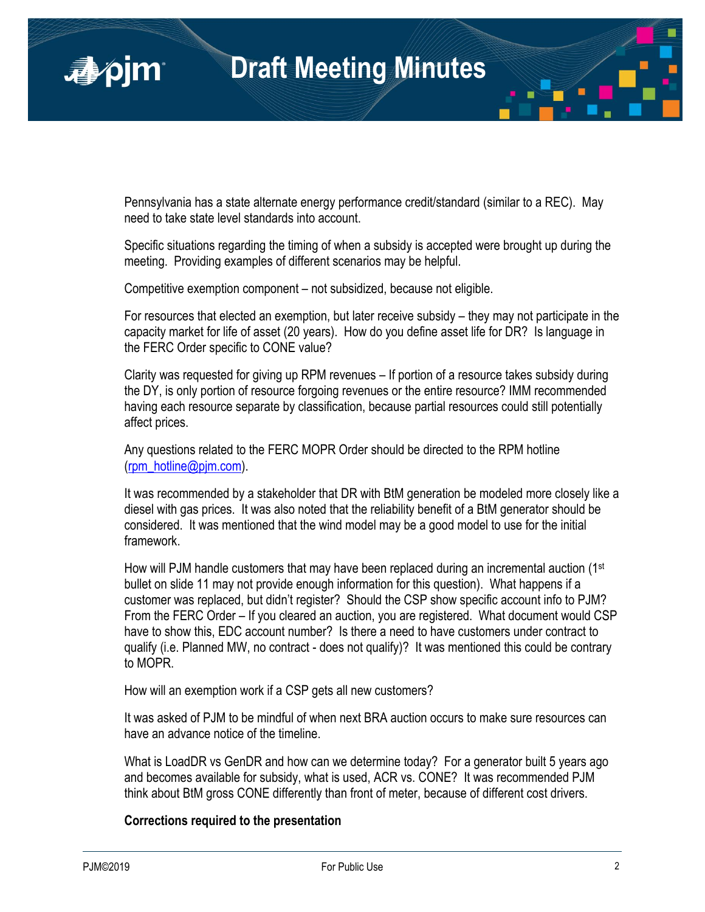

Pennsylvania has a state alternate energy performance credit/standard (similar to a REC). May need to take state level standards into account.

Specific situations regarding the timing of when a subsidy is accepted were brought up during the meeting. Providing examples of different scenarios may be helpful.

Competitive exemption component – not subsidized, because not eligible.

For resources that elected an exemption, but later receive subsidy – they may not participate in the capacity market for life of asset (20 years). How do you define asset life for DR? Is language in the FERC Order specific to CONE value?

Clarity was requested for giving up RPM revenues – If portion of a resource takes subsidy during the DY, is only portion of resource forgoing revenues or the entire resource? IMM recommended having each resource separate by classification, because partial resources could still potentially affect prices.

Any questions related to the FERC MOPR Order should be directed to the RPM hotline [\(rpm\\_hotline@pjm.com\)](mailto:rpm_hotline@pjm.com).

It was recommended by a stakeholder that DR with BtM generation be modeled more closely like a diesel with gas prices. It was also noted that the reliability benefit of a BtM generator should be considered. It was mentioned that the wind model may be a good model to use for the initial framework.

How will PJM handle customers that may have been replaced during an incremental auction (1st bullet on slide 11 may not provide enough information for this question). What happens if a customer was replaced, but didn't register? Should the CSP show specific account info to PJM? From the FERC Order – If you cleared an auction, you are registered. What document would CSP have to show this, EDC account number? Is there a need to have customers under contract to qualify (i.e. Planned MW, no contract - does not qualify)? It was mentioned this could be contrary to MOPR.

How will an exemption work if a CSP gets all new customers?

It was asked of PJM to be mindful of when next BRA auction occurs to make sure resources can have an advance notice of the timeline.

What is LoadDR vs GenDR and how can we determine today? For a generator built 5 years ago and becomes available for subsidy, what is used, ACR vs. CONE? It was recommended PJM think about BtM gross CONE differently than front of meter, because of different cost drivers.

# **Corrections required to the presentation**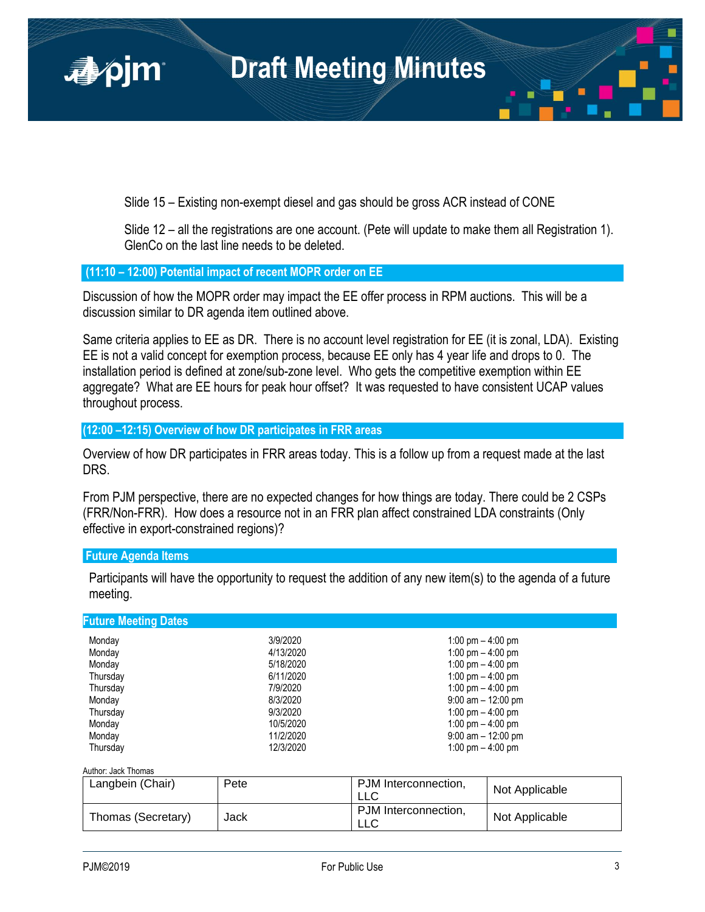

Slide 15 – Existing non-exempt diesel and gas should be gross ACR instead of CONE

Slide 12 – all the registrations are one account. (Pete will update to make them all Registration 1). GlenCo on the last line needs to be deleted.

## **(11:10 – 12:00) Potential impact of recent MOPR order on EE**

Discussion of how the MOPR order may impact the EE offer process in RPM auctions. This will be a discussion similar to DR agenda item outlined above.

Same criteria applies to EE as DR. There is no account level registration for EE (it is zonal, LDA). Existing EE is not a valid concept for exemption process, because EE only has 4 year life and drops to 0. The installation period is defined at zone/sub-zone level. Who gets the competitive exemption within EE aggregate? What are EE hours for peak hour offset? It was requested to have consistent UCAP values throughout process.

**(12:00 –12:15) Overview of how DR participates in FRR areas** 

Overview of how DR participates in FRR areas today. This is a follow up from a request made at the last DRS.

From PJM perspective, there are no expected changes for how things are today. There could be 2 CSPs (FRR/Non-FRR). How does a resource not in an FRR plan affect constrained LDA constraints (Only effective in export-constrained regions)?

## **Future Agenda Items**

Participants will have the opportunity to request the addition of any new item(s) to the agenda of a future meeting.

| <b>Future Meeting Dates</b> |           |                       |
|-----------------------------|-----------|-----------------------|
| Monday                      | 3/9/2020  | 1:00 pm $-$ 4:00 pm   |
| Monday                      | 4/13/2020 | 1:00 pm $-$ 4:00 pm   |
| Monday                      | 5/18/2020 | 1:00 pm $-$ 4:00 pm   |
| Thursday                    | 6/11/2020 | 1:00 pm $-$ 4:00 pm   |
| Thursday                    | 7/9/2020  | 1:00 pm $-$ 4:00 pm   |
| Monday                      | 8/3/2020  | $9:00$ am $-12:00$ pm |
| Thursday                    | 9/3/2020  | 1:00 pm $-$ 4:00 pm   |
| Monday                      | 10/5/2020 | 1:00 pm $-$ 4:00 pm   |
| Monday                      | 11/2/2020 | $9:00$ am $-12:00$ pm |
| Thursdav                    | 12/3/2020 | 1:00 pm $-$ 4:00 pm   |

## Author: Jack Thomas

| Langbein (Chair)   | Pete | PJM Interconnection,<br>LLC | Not Applicable |
|--------------------|------|-----------------------------|----------------|
| Thomas (Secretary) | Jack | PJM Interconnection.<br>LLC | Not Applicable |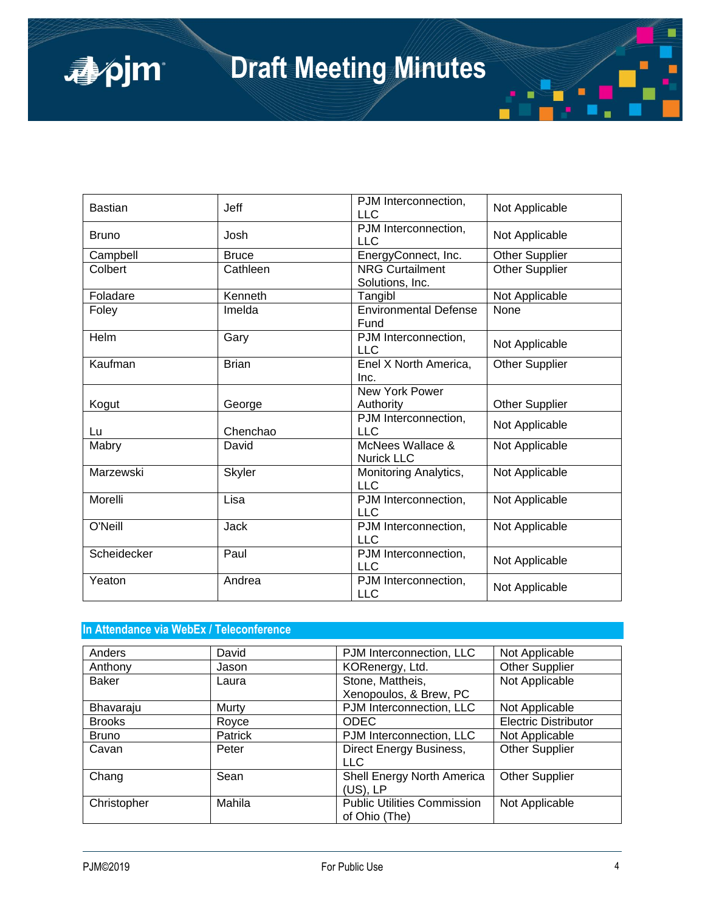| <b>Bastian</b> | <b>Jeff</b>   | PJM Interconnection,<br><b>LLC</b>        | Not Applicable        |
|----------------|---------------|-------------------------------------------|-----------------------|
| <b>Bruno</b>   | Josh          | PJM Interconnection,<br><b>LLC</b>        | Not Applicable        |
| Campbell       | <b>Bruce</b>  | EnergyConnect, Inc.                       | <b>Other Supplier</b> |
| Colbert        | Cathleen      | <b>NRG Curtailment</b><br>Solutions, Inc. | <b>Other Supplier</b> |
| Foladare       | Kenneth       | Tangibl                                   | Not Applicable        |
| Foley          | Imelda        | <b>Environmental Defense</b><br>Fund      | None                  |
| Helm           | Gary          | PJM Interconnection,<br><b>LLC</b>        | Not Applicable        |
| Kaufman        | <b>Brian</b>  | Enel X North America,<br>Inc.             | <b>Other Supplier</b> |
|                |               | New York Power                            |                       |
| Kogut          | George        | Authority                                 | <b>Other Supplier</b> |
| Lu             | Chenchao      | PJM Interconnection,<br><b>LLC</b>        | Not Applicable        |
| Mabry          | David         | McNees Wallace &<br><b>Nurick LLC</b>     | Not Applicable        |
| Marzewski      | <b>Skyler</b> | Monitoring Analytics,<br><b>LLC</b>       | Not Applicable        |
| Morelli        | Lisa          | PJM Interconnection,<br><b>LLC</b>        | Not Applicable        |
| O'Neill        | <b>Jack</b>   | PJM Interconnection,<br><b>LLC</b>        | Not Applicable        |
| Scheidecker    | Paul          | PJM Interconnection,<br><b>LLC</b>        | Not Applicable        |
| Yeaton         | Andrea        | PJM Interconnection,<br><b>LLC</b>        | Not Applicable        |

# **In Attendance via WebEx / Teleconference**

| Anders        | David   | PJM Interconnection, LLC           | Not Applicable              |
|---------------|---------|------------------------------------|-----------------------------|
| Anthony       | Jason   | KORenergy, Ltd.                    | <b>Other Supplier</b>       |
| <b>Baker</b>  | Laura   | Stone, Mattheis,                   | Not Applicable              |
|               |         | Xenopoulos, & Brew, PC             |                             |
| Bhavaraju     | Murty   | PJM Interconnection, LLC           | Not Applicable              |
| <b>Brooks</b> | Royce   | <b>ODEC</b>                        | <b>Electric Distributor</b> |
| <b>Bruno</b>  | Patrick | PJM Interconnection, LLC           | Not Applicable              |
| Cavan         | Peter   | Direct Energy Business,            | <b>Other Supplier</b>       |
|               |         | <b>LLC</b>                         |                             |
| Chang         | Sean    | Shell Energy North America         | <b>Other Supplier</b>       |
|               |         | (US), LP                           |                             |
| Christopher   | Mahila  | <b>Public Utilities Commission</b> | Not Applicable              |
|               |         | of Ohio (The)                      |                             |

apjm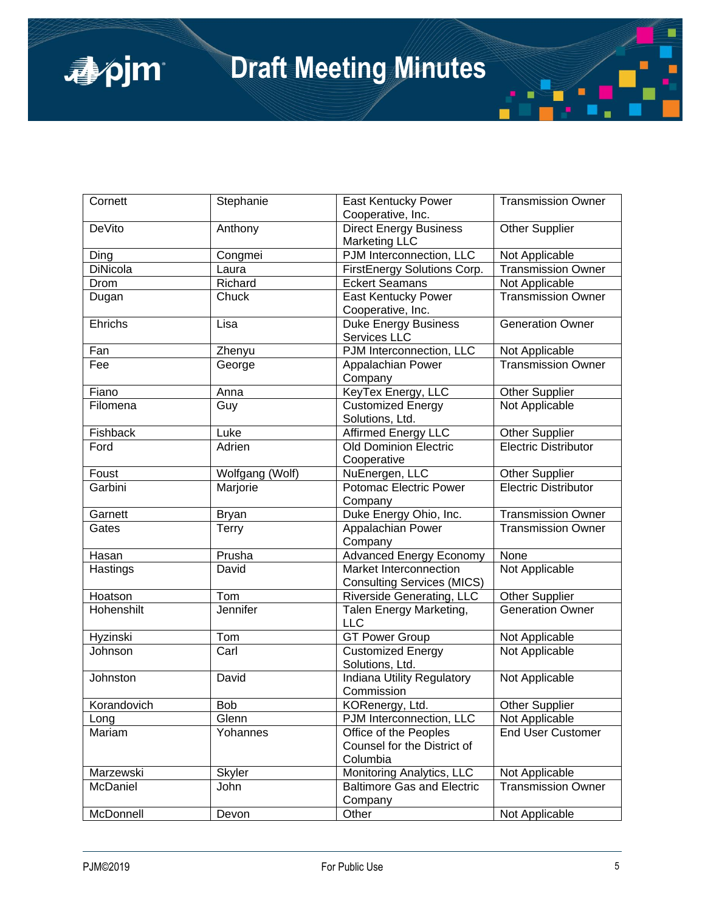| Cornett         | Stephanie       | East Kentucky Power<br>Cooperative, Inc.                         | <b>Transmission Owner</b>   |
|-----------------|-----------------|------------------------------------------------------------------|-----------------------------|
| <b>DeVito</b>   | Anthony         | <b>Direct Energy Business</b><br><b>Marketing LLC</b>            | <b>Other Supplier</b>       |
| Ding            | Congmei         | PJM Interconnection, LLC                                         | Not Applicable              |
| <b>DiNicola</b> | Laura           | FirstEnergy Solutions Corp.                                      | <b>Transmission Owner</b>   |
| Drom            | Richard         | <b>Eckert Seamans</b>                                            | Not Applicable              |
| Dugan           | Chuck           | <b>East Kentucky Power</b>                                       | <b>Transmission Owner</b>   |
|                 |                 | Cooperative, Inc.                                                |                             |
| Ehrichs         | Lisa            | Duke Energy Business<br>Services LLC                             | <b>Generation Owner</b>     |
| Fan             | Zhenyu          | PJM Interconnection, LLC                                         | Not Applicable              |
| Fee             | George          | Appalachian Power<br>Company                                     | <b>Transmission Owner</b>   |
| Fiano           | Anna            | KeyTex Energy, LLC                                               | Other Supplier              |
| Filomena        | Guy             | Customized Energy<br>Solutions, Ltd.                             | Not Applicable              |
| Fishback        | Luke            | <b>Affirmed Energy LLC</b>                                       | <b>Other Supplier</b>       |
| Ford            | Adrien          | <b>Old Dominion Electric</b>                                     | <b>Electric Distributor</b> |
|                 |                 | Cooperative                                                      |                             |
| Foust           | Wolfgang (Wolf) | NuEnergen, LLC                                                   | <b>Other Supplier</b>       |
| Garbini         | Marjorie        | Potomac Electric Power<br>Company                                | Electric Distributor        |
| Garnett         | <b>Bryan</b>    | Duke Energy Ohio, Inc.                                           | Transmission Owner          |
| Gates           | Terry           | Appalachian Power<br>Company                                     | Transmission Owner          |
| Hasan           | Prusha          | <b>Advanced Energy Economy</b>                                   | <b>None</b>                 |
| Hastings        | David           | Market Interconnection<br><b>Consulting Services (MICS)</b>      | Not Applicable              |
| Hoatson         | Tom             | Riverside Generating, LLC                                        | <b>Other Supplier</b>       |
| Hohenshilt      | Jennifer        | Talen Energy Marketing,<br><b>LLC</b>                            | Generation Owner            |
| Hyzinski        | Tom             | <b>GT Power Group</b>                                            | Not Applicable              |
| Johnson         | Carl            | <b>Customized Energy</b><br>Solutions, Ltd.                      | Not Applicable              |
| Johnston        | David           | <b>Indiana Utility Regulatory</b><br>Commission                  | Not Applicable              |
| Korandovich     | <b>Bob</b>      | KORenergy, Ltd.                                                  | <b>Other Supplier</b>       |
| Long            | Glenn           | PJM Interconnection, LLC                                         | Not Applicable              |
| Mariam          | Yohannes        | Office of the Peoples<br>Counsel for the District of<br>Columbia | <b>End User Customer</b>    |
| Marzewski       | <b>Skyler</b>   | Monitoring Analytics, LLC                                        | Not Applicable              |
| McDaniel        | John            | <b>Baltimore Gas and Electric</b><br>Company                     | <b>Transmission Owner</b>   |
| McDonnell       | Devon           | Other                                                            | Not Applicable              |

apjm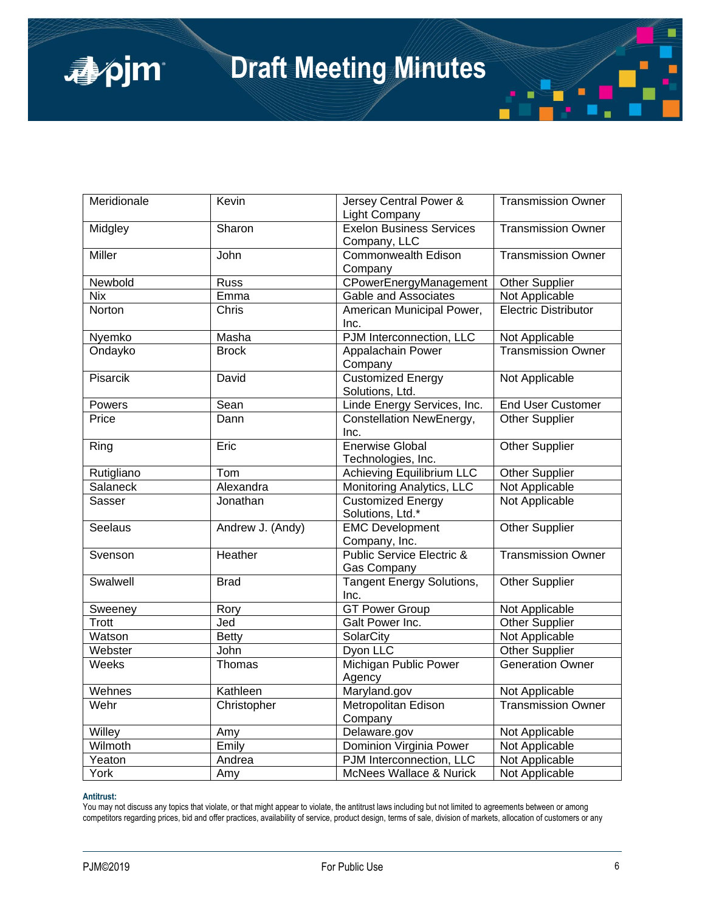| Meridionale | Kevin            | Jersey Central Power &<br>Light Company                    | <b>Transmission Owner</b> |
|-------------|------------------|------------------------------------------------------------|---------------------------|
| Midgley     | Sharon           | <b>Exelon Business Services</b><br>Company, LLC            | <b>Transmission Owner</b> |
| Miller      | John             | Commonwealth Edison<br>Company                             | <b>Transmission Owner</b> |
| Newbold     | <b>Russ</b>      | CPowerEnergyManagement                                     | Other Supplier            |
| <b>Nix</b>  | Emma             | Gable and Associates                                       | Not Applicable            |
| Norton      | Chris            | American Municipal Power,<br>Inc.                          | Electric Distributor      |
| Nyemko      | Masha            | PJM Interconnection, LLC                                   | Not Applicable            |
| Ondayko     | <b>Brock</b>     | Appalachain Power<br>Company                               | <b>Transmission Owner</b> |
| Pisarcik    | David            | <b>Customized Energy</b><br>Solutions, Ltd.                | Not Applicable            |
| Powers      | Sean             | Linde Energy Services, Inc.                                | <b>End User Customer</b>  |
| Price       | Dann             | Constellation NewEnergy,<br>Inc.                           | <b>Other Supplier</b>     |
| Ring        | Eric             | <b>Enerwise Global</b><br>Technologies, Inc.               | <b>Other Supplier</b>     |
| Rutigliano  | Tom              | Achieving Equilibrium LLC                                  | <b>Other Supplier</b>     |
| Salaneck    | Alexandra        | Monitoring Analytics, LLC                                  | Not Applicable            |
| Sasser      | Jonathan         | Customized Energy<br>Solutions, Ltd.*                      | Not Applicable            |
| Seelaus     | Andrew J. (Andy) | <b>EMC Development</b><br>Company, Inc.                    | <b>Other Supplier</b>     |
| Svenson     | Heather          | <b>Public Service Electric &amp;</b><br><b>Gas Company</b> | <b>Transmission Owner</b> |
| Swalwell    | <b>Brad</b>      | <b>Tangent Energy Solutions,</b><br>Inc.                   | <b>Other Supplier</b>     |
| Sweeney     | Rory             | <b>GT Power Group</b>                                      | Not Applicable            |
| Trott       | Jed              | Galt Power Inc.                                            | <b>Other Supplier</b>     |
| Watson      | <b>Betty</b>     | SolarCity                                                  | Not Applicable            |
| Webster     | John             | Dyon LLC                                                   | <b>Other Supplier</b>     |
| Weeks       | Thomas           | <b>Michigan Public Power</b><br>Agency                     | <b>Generation Owner</b>   |
| Wehnes      | Kathleen         | Maryland.gov                                               | Not Applicable            |
| Wehr        | Christopher      | Metropolitan Edison<br>Company                             | <b>Transmission Owner</b> |
| Willey      | Amy              | Delaware.gov                                               | Not Applicable            |
| Wilmoth     | Emily            | Dominion Virginia Power                                    | Not Applicable            |
| Yeaton      | Andrea           | PJM Interconnection, LLC                                   | Not Applicable            |
| York        | Amy              | McNees Wallace & Nurick                                    | Not Applicable            |

### **Antitrust:**

apjm

You may not discuss any topics that violate, or that might appear to violate, the antitrust laws including but not limited to agreements between or among competitors regarding prices, bid and offer practices, availability of service, product design, terms of sale, division of markets, allocation of customers or any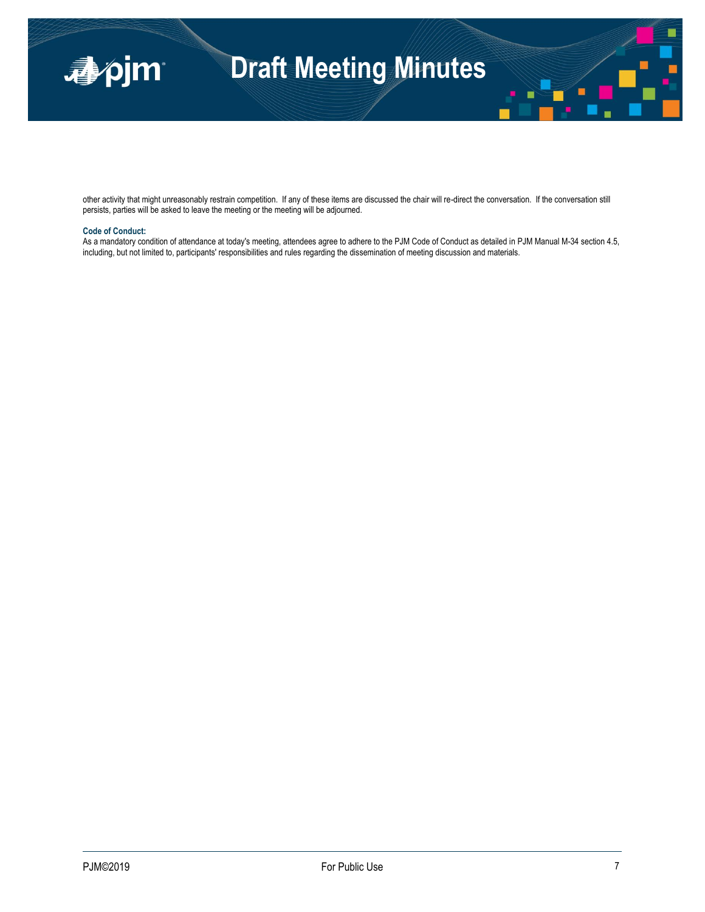

other activity that might unreasonably restrain competition. If any of these items are discussed the chair will re-direct the conversation. If the conversation still persists, parties will be asked to leave the meeting or the meeting will be adjourned.

#### **Code of Conduct:**

As a mandatory condition of attendance at today's meeting, attendees agree to adhere to the PJM Code of Conduct as detailed in PJM Manual M-34 section 4.5, including, but not limited to, participants' responsibilities and rules regarding the dissemination of meeting discussion and materials.